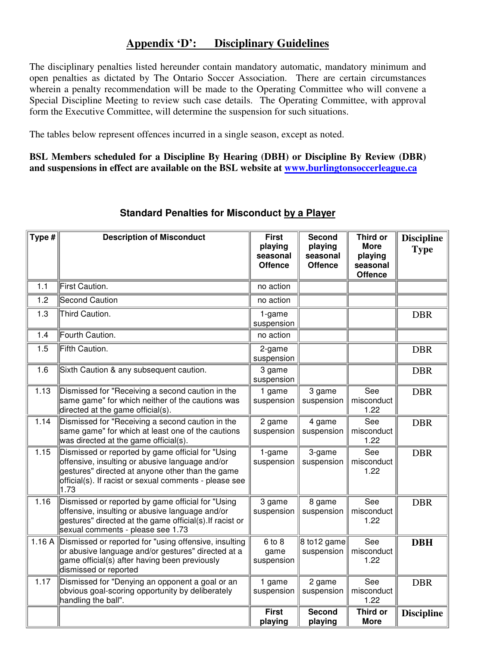## **Appendix 'D': Disciplinary Guidelines**

The disciplinary penalties listed hereunder contain mandatory automatic, mandatory minimum and open penalties as dictated by The Ontario Soccer Association. There are certain circumstances wherein a penalty recommendation will be made to the Operating Committee who will convene a Special Discipline Meeting to review such case details. The Operating Committee, with approval form the Executive Committee, will determine the suspension for such situations.

The tables below represent offences incurred in a single season, except as noted.

**BSL Members scheduled for a Discipline By Hearing (DBH) or Discipline By Review (DBR) and suspensions in effect are available on the BSL website at www.burlingtonsoccerleague.ca**

| Type $#$ | <b>Description of Misconduct</b>                                                                                                                                                                                           | <b>First</b><br>playing<br>seasonal<br><b>Offence</b> | <b>Second</b><br>playing<br>seasonal<br><b>Offence</b> | <b>Third or</b><br><b>More</b><br>playing<br>seasonal<br><b>Offence</b> | <b>Discipline</b><br><b>Type</b> |
|----------|----------------------------------------------------------------------------------------------------------------------------------------------------------------------------------------------------------------------------|-------------------------------------------------------|--------------------------------------------------------|-------------------------------------------------------------------------|----------------------------------|
| 1.1      | First Caution.                                                                                                                                                                                                             | no action                                             |                                                        |                                                                         |                                  |
| 1.2      | <b>Second Caution</b>                                                                                                                                                                                                      | no action                                             |                                                        |                                                                         |                                  |
| 1.3      | Third Caution.                                                                                                                                                                                                             | 1-game<br>suspension                                  |                                                        |                                                                         | <b>DBR</b>                       |
| 1.4      | Fourth Caution.                                                                                                                                                                                                            | no action                                             |                                                        |                                                                         |                                  |
| 1.5      | Fifth Caution.                                                                                                                                                                                                             | 2-game<br>suspension                                  |                                                        |                                                                         | <b>DBR</b>                       |
| 1.6      | Sixth Caution & any subsequent caution.                                                                                                                                                                                    | 3 game<br>suspension                                  |                                                        |                                                                         | <b>DBR</b>                       |
| 1.13     | Dismissed for "Receiving a second caution in the<br>same game" for which neither of the cautions was<br>directed at the game official(s).                                                                                  | 1 game<br>suspension                                  | 3 game<br>suspension                                   | See<br>misconduct<br>1.22                                               | <b>DBR</b>                       |
| 1.14     | Dismissed for "Receiving a second caution in the<br>same game" for which at least one of the cautions<br>was directed at the game official(s).                                                                             | 2 game<br>suspension                                  | 4 game<br>suspension                                   | See<br>misconduct<br>1.22                                               | <b>DBR</b>                       |
| 1.15     | Dismissed or reported by game official for "Using<br>offensive, insulting or abusive language and/or<br>gestures" directed at anyone other than the game<br>official(s). If racist or sexual comments - please see<br>1.73 | 1-game<br>suspension                                  | 3-game<br>suspension                                   | See<br>misconduct<br>1.22                                               | <b>DBR</b>                       |
| 1.16     | Dismissed or reported by game official for "Using<br>offensive, insulting or abusive language and/or<br>gestures" directed at the game official(s). If racist or<br>sexual comments - please see 1.73                      | 3 game<br>suspension                                  | 8 game<br>suspension                                   | See<br>misconduct<br>1.22                                               | <b>DBR</b>                       |
| 1.16A    | Dismissed or reported for "using offensive, insulting<br>or abusive language and/or gestures" directed at a<br>game official(s) after having been previously<br>dismissed or reported                                      | $6$ to $8$<br>game<br>suspension                      | 8 to 12 game<br>suspension                             | See<br>misconduct<br>1.22                                               | <b>DBH</b>                       |
| 1.17     | Dismissed for "Denying an opponent a goal or an<br>obvious goal-scoring opportunity by deliberately<br>handling the ball".                                                                                                 | 1 game<br>suspension                                  | 2 game<br>suspension                                   | See<br>misconduct<br>1.22                                               | <b>DBR</b>                       |
|          |                                                                                                                                                                                                                            | <b>First</b><br>playing                               | <b>Second</b><br>playing                               | <b>Third or</b><br><b>More</b>                                          | <b>Discipline</b>                |

## **Standard Penalties for Misconduct by a Player**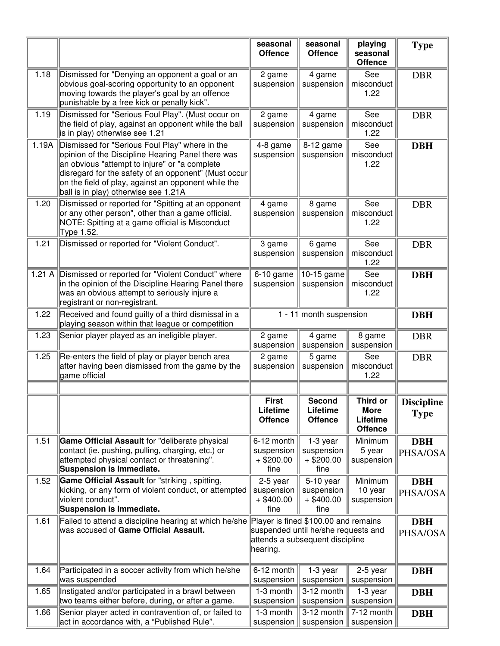|       |                                                                                                                                                                                                                                                                                                             | seasonal<br><b>Offence</b>                       | seasonal<br><b>Offence</b>                                             | playing<br>seasonal<br><b>Offence</b>                 | <b>Type</b>                      |
|-------|-------------------------------------------------------------------------------------------------------------------------------------------------------------------------------------------------------------------------------------------------------------------------------------------------------------|--------------------------------------------------|------------------------------------------------------------------------|-------------------------------------------------------|----------------------------------|
| 1.18  | Dismissed for "Denying an opponent a goal or an<br>obvious goal-scoring opportunity to an opponent<br>moving towards the player's goal by an offence<br>punishable by a free kick or penalty kick".                                                                                                         | 2 game<br>suspension                             | 4 game<br>suspension                                                   | See<br>misconduct<br>1.22                             | <b>DBR</b>                       |
| 1.19  | Dismissed for "Serious Foul Play". (Must occur on<br>the field of play, against an opponent while the ball<br>is in play) otherwise see 1.21                                                                                                                                                                | 2 game<br>suspension                             | 4 game<br>suspension                                                   | See<br>misconduct<br>1.22                             | <b>DBR</b>                       |
| 1.19A | Dismissed for "Serious Foul Play" where in the<br>opinion of the Discipline Hearing Panel there was<br>an obvious "attempt to injure" or "a complete<br>disregard for the safety of an opponent" (Must occur<br>on the field of play, against an opponent while the<br>ball is in play) otherwise see 1.21A | 4-8 game<br>suspension                           | 8-12 game<br>suspension                                                | See<br>misconduct<br>1.22                             | <b>DBH</b>                       |
| 1.20  | Dismissed or reported for "Spitting at an opponent<br>or any other person", other than a game official.<br>NOTE: Spitting at a game official is Misconduct<br>Type 1.52.                                                                                                                                    | 4 game<br>suspension                             | 8 game<br>suspension                                                   | See<br>misconduct<br>1.22                             | <b>DBR</b>                       |
| 1.21  | Dismissed or reported for "Violent Conduct".                                                                                                                                                                                                                                                                | 3 game<br>suspension                             | 6 game<br>suspension                                                   | See<br>misconduct<br>1.22                             | <b>DBR</b>                       |
| 1.21A | Dismissed or reported for "Violent Conduct" where<br>in the opinion of the Discipline Hearing Panel there<br>was an obvious attempt to seriously injure a<br>registrant or non-registrant.                                                                                                                  | $6-10$ game<br>suspension                        | 10-15 game<br>suspension                                               | See<br>misconduct<br>1.22                             | <b>DBH</b>                       |
| 1.22  | Received and found guilty of a third dismissal in a<br>playing season within that league or competition                                                                                                                                                                                                     | 1 - 11 month suspension                          |                                                                        |                                                       | <b>DBH</b>                       |
| 1.23  | Senior player played as an ineligible player.                                                                                                                                                                                                                                                               | 2 game<br>suspension                             | 4 game<br>suspension                                                   | 8 game<br>suspension                                  | <b>DBR</b>                       |
| 1.25  | Re-enters the field of play or player bench area<br>after having been dismissed from the game by the<br>game official                                                                                                                                                                                       | 2 game<br>suspension                             | 5 game<br>suspension                                                   | See<br>misconduct<br>1.22                             | <b>DBR</b>                       |
|       |                                                                                                                                                                                                                                                                                                             |                                                  |                                                                        |                                                       |                                  |
|       |                                                                                                                                                                                                                                                                                                             | <b>First</b><br>Lifetime<br><b>Offence</b>       | <b>Second</b><br>Lifetime<br><b>Offence</b>                            | Third or<br><b>More</b><br>Lifetime<br><b>Offence</b> | <b>Discipline</b><br><b>Type</b> |
| 1.51  | Game Official Assault for "deliberate physical<br>contact (ie. pushing, pulling, charging, etc.) or<br>attempted physical contact or threatening".<br><b>Suspension is Immediate.</b>                                                                                                                       | 6-12 month<br>suspension<br>$+$ \$200.00<br>fine | 1-3 year<br>suspension<br>$+$ \$200.00<br>fine                         | Minimum<br>5 year<br>suspension                       | <b>DBH</b><br>PHSA/OSA           |
| 1.52  | Game Official Assault for "striking, spitting,<br>kicking, or any form of violent conduct, or attempted<br>violent conduct".<br><b>Suspension is Immediate.</b>                                                                                                                                             | 2-5 year<br>suspension<br>$+$ \$400.00<br>fine   | 5-10 year<br>suspension<br>$+$ \$400.00<br>fine                        | Minimum<br>10 year<br>suspension                      | <b>DBH</b><br>PHSA/OSA           |
| 1.61  | Failed to attend a discipline hearing at which he/she<br>was accused of Game Official Assault.                                                                                                                                                                                                              | Player is fined \$100.00 and remains<br>hearing. | suspended until he/she requests and<br>attends a subsequent discipline |                                                       | <b>DBH</b><br>PHSA/OSA           |
| 1.64  | Participated in a soccer activity from which he/she<br>was suspended                                                                                                                                                                                                                                        | 6-12 month<br>suspension                         | 1-3 year<br>suspension                                                 | 2-5 year<br>suspension                                | <b>DBH</b>                       |
| 1.65  | Instigated and/or participated in a brawl between<br>two teams either before, during, or after a game.                                                                                                                                                                                                      | 1-3 month<br>suspension                          | 3-12 month<br>suspension                                               | 1-3 year<br>suspension                                | <b>DBH</b>                       |
| 1.66  | Senior player acted in contravention of, or failed to<br>act in accordance with, a "Published Rule".                                                                                                                                                                                                        | 1-3 month<br>suspension                          | 3-12 month<br>suspension                                               | 7-12 month<br>suspension                              | <b>DBH</b>                       |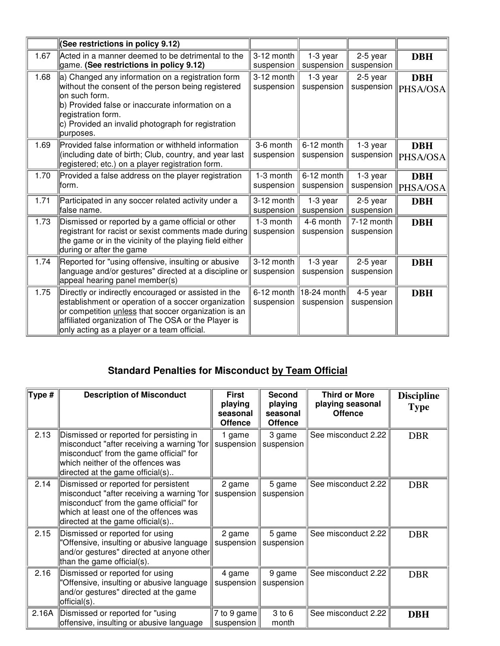|      | (See restrictions in policy 9.12)                                                                                                                                                                                                                                         |                            |                           |                          |                        |
|------|---------------------------------------------------------------------------------------------------------------------------------------------------------------------------------------------------------------------------------------------------------------------------|----------------------------|---------------------------|--------------------------|------------------------|
| 1.67 | Acted in a manner deemed to be detrimental to the<br>game. (See restrictions in policy 9.12)                                                                                                                                                                              | 3-12 month<br>suspension   | 1-3 year<br>suspension    | 2-5 year<br>suspension   | <b>DBH</b>             |
| 1.68 | a) Changed any information on a registration form<br>without the consent of the person being registered<br>on such form.<br>b) Provided false or inaccurate information on a<br>registration form.<br>c) Provided an invalid photograph for registration<br>purposes.     | 3-12 month<br>suspension   | 1-3 year<br>suspension    | 2-5 year<br>suspension   | <b>DBH</b><br>PHSA/OSA |
| 1.69 | Provided false information or withheld information<br>(including date of birth; Club, country, and year last<br>registered; etc.) on a player registration form.                                                                                                          | 3-6 month<br>suspension    | 6-12 month<br>suspension  | 1-3 year<br>suspension   | <b>DBH</b><br>PHSA/OSA |
| 1.70 | Provided a false address on the player registration<br>lform.                                                                                                                                                                                                             | 1-3 month<br>suspension    | 6-12 month<br>suspension  | 1-3 year<br>suspension   | <b>DBH</b><br>PHSA/OSA |
| 1.71 | Participated in any soccer related activity under a<br>lfalse name.                                                                                                                                                                                                       | 3-12 month<br>suspension   | $1-3$ year<br>suspension  | $2-5$ year<br>suspension | <b>DBH</b>             |
| 1.73 | Dismissed or reported by a game official or other<br>registrant for racist or sexist comments made during<br>the game or in the vicinity of the playing field either<br>during or after the game                                                                          | 1-3 month<br>suspension    | 4-6 month<br>suspension   | 7-12 month<br>suspension | <b>DBH</b>             |
| 1.74 | Reported for "using offensive, insulting or abusive<br>language and/or gestures" directed at a discipline or<br>appeal hearing panel member(s)                                                                                                                            | 3-12 month<br>suspension   | 1-3 year<br>suspension    | 2-5 year<br>suspension   | <b>DBH</b>             |
| 1.75 | Directly or indirectly encouraged or assisted in the<br>establishment or operation of a soccer organization<br>or competition unless that soccer organization is an<br>affiliated organization of The OSA or the Player is<br>only acting as a player or a team official. | $6-12$ month<br>suspension | 18-24 month<br>suspension | 4-5 year<br>suspension   | <b>DBH</b>             |

## **Standard Penalties for Misconduct by Team Official**

| Type # | <b>Description of Misconduct</b>                                                                                                                                                                            | <b>First</b><br>playing<br>seasonal<br><b>Offence</b> | <b>Second</b><br>playing<br>seasonal<br><b>Offence</b> | <b>Third or More</b><br>playing seasonal<br><b>Offence</b> | <b>Discipline</b><br><b>Type</b> |
|--------|-------------------------------------------------------------------------------------------------------------------------------------------------------------------------------------------------------------|-------------------------------------------------------|--------------------------------------------------------|------------------------------------------------------------|----------------------------------|
| 2.13   | Dismissed or reported for persisting in<br>misconduct "after receiving a warning 'for<br>misconduct' from the game official" for<br>which neither of the offences was<br>directed at the game official(s)   | 1 game<br>suspension                                  | 3 game<br>suspension                                   | See misconduct 2.22                                        | <b>DBR</b>                       |
| 2.14   | Dismissed or reported for persistent<br>misconduct "after receiving a warning 'for<br>misconduct' from the game official" for<br>which at least one of the offences was<br>directed at the game official(s) | 2 game<br>suspension                                  | 5 game<br>suspension                                   | See misconduct 2.22                                        | <b>DBR</b>                       |
| 2.15   | Dismissed or reported for using<br>"Offensive, insulting or abusive language<br>and/or gestures" directed at anyone other<br>than the game official(s).                                                     | 2 game<br>suspension                                  | 5 game<br>suspension                                   | See misconduct 2.22                                        | <b>DBR</b>                       |
| 2.16   | Dismissed or reported for using<br>'Offensive, insulting or abusive language<br>and/or gestures" directed at the game<br>official(s).                                                                       | 4 game<br>suspension                                  | 9 game<br>suspension                                   | See misconduct 2.22                                        | <b>DBR</b>                       |
| 2.16A  | Dismissed or reported for "using"<br>offensive, insulting or abusive language                                                                                                                               | 7 to 9 game<br>suspension                             | 3 to 6<br>month                                        | See misconduct 2.22                                        | <b>DBH</b>                       |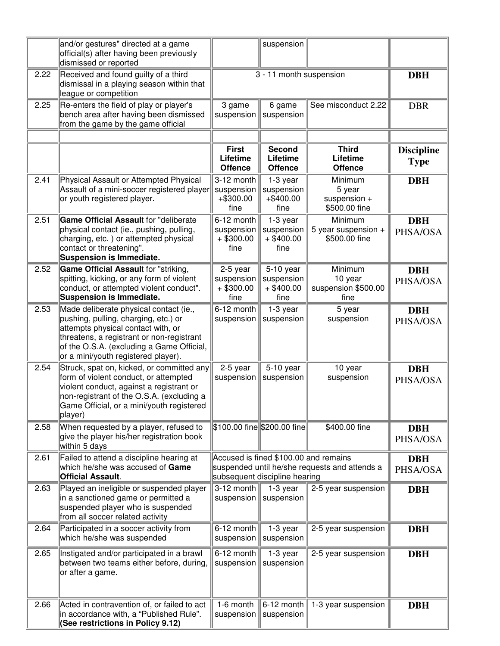|      | and/or gestures" directed at a game<br>official(s) after having been previously<br>dismissed or reported                                                                                                                                              |                                                  | suspension                                                                                                              |                                                    |                                  |
|------|-------------------------------------------------------------------------------------------------------------------------------------------------------------------------------------------------------------------------------------------------------|--------------------------------------------------|-------------------------------------------------------------------------------------------------------------------------|----------------------------------------------------|----------------------------------|
| 2.22 | Received and found guilty of a third<br>dismissal in a playing season within that<br>league or competition                                                                                                                                            |                                                  | 3 - 11 month suspension                                                                                                 |                                                    | <b>DBH</b>                       |
| 2.25 | Re-enters the field of play or player's<br>bench area after having been dismissed<br>from the game by the game official                                                                                                                               | 3 game<br>suspension                             | 6 game<br>suspension                                                                                                    | See misconduct 2.22                                | <b>DBR</b>                       |
|      |                                                                                                                                                                                                                                                       |                                                  |                                                                                                                         |                                                    |                                  |
|      |                                                                                                                                                                                                                                                       | <b>First</b><br>Lifetime<br><b>Offence</b>       | <b>Second</b><br>Lifetime<br><b>Offence</b>                                                                             | <b>Third</b><br>Lifetime<br><b>Offence</b>         | <b>Discipline</b><br><b>Type</b> |
| 2.41 | Physical Assault or Attempted Physical<br>Assault of a mini-soccer registered player<br>or youth registered player.                                                                                                                                   | 3-12 month<br>suspension<br>$+ $300.00$<br>fine  | 1-3 year<br>suspension<br>$+ $400.00$<br>fine                                                                           | Minimum<br>5 year<br>suspension +<br>\$500.00 fine | <b>DBH</b>                       |
| 2.51 | Game Official Assault for "deliberate<br>physical contact (ie., pushing, pulling,<br>charging, etc.) or attempted physical<br>contact or threatening".<br><b>Suspension is Immediate.</b>                                                             | 6-12 month<br>suspension<br>$+$ \$300.00<br>fine | 1-3 year<br>suspension<br>$+$ \$400.00<br>fine                                                                          | Minimum<br>5 year suspension +<br>\$500.00 fine    | <b>DBH</b><br>PHSA/OSA           |
| 2.52 | Game Official Assault for "striking,<br>spitting, kicking, or any form of violent<br>conduct, or attempted violent conduct".<br><b>Suspension is Immediate.</b>                                                                                       | 2-5 year<br>suspension<br>$+$ \$300.00<br>fine   | 5-10 year<br>suspension<br>$+$ \$400.00<br>fine                                                                         | Minimum<br>10 year<br>suspension \$500.00<br>fine  | <b>DBH</b><br>PHSA/OSA           |
| 2.53 | Made deliberate physical contact (ie.,<br>pushing, pulling, charging, etc.) or<br>attempts physical contact with, or<br>threatens, a registrant or non-registrant<br>of the O.S.A. (excluding a Game Official,<br>or a mini/youth registered player). | 6-12 month<br>suspension                         | 1-3 year<br>suspension                                                                                                  | 5 year<br>suspension                               | <b>DBH</b><br>PHSA/OSA           |
| 2.54 | Struck, spat on, kicked, or committed any<br>form of violent conduct, or attempted<br>violent conduct, against a registrant or<br>non-registrant of the O.S.A. (excluding a<br>Game Official, or a mini/youth registered<br>player)                   | 2-5 year<br>suspension                           | 5-10 year<br>suspension                                                                                                 | 10 year<br>suspension                              | <b>DBH</b><br>PHSA/OSA           |
| 2.58 | When requested by a player, refused to<br>give the player his/her registration book<br>within 5 days                                                                                                                                                  |                                                  | \$100.00 fine \$200.00 fine                                                                                             | \$400.00 fine                                      | <b>DBH</b><br>PHSA/OSA           |
| 2.61 | Failed to attend a discipline hearing at<br>which he/she was accused of Game<br><b>Official Assault.</b>                                                                                                                                              |                                                  | Accused is fined \$100.00 and remains<br>suspended until he/she requests and attends a<br>subsequent discipline hearing |                                                    |                                  |
| 2.63 | Played an ineligible or suspended player<br>in a sanctioned game or permitted a<br>suspended player who is suspended<br>from all soccer related activity                                                                                              | 3-12 month<br>suspension                         | 1-3 year<br>suspension                                                                                                  | 2-5 year suspension                                | <b>DBH</b>                       |
| 2.64 | Participated in a soccer activity from<br>which he/she was suspended                                                                                                                                                                                  | 6-12 month<br>suspension                         | 1-3 year<br>suspension                                                                                                  | 2-5 year suspension                                | <b>DBH</b>                       |
| 2.65 | Instigated and/or participated in a brawl<br>between two teams either before, during,<br>or after a game.                                                                                                                                             | 6-12 month<br>suspension                         | 1-3 year<br>suspension                                                                                                  | 2-5 year suspension                                | <b>DBH</b>                       |
| 2.66 | Acted in contravention of, or failed to act<br>in accordance with, a "Published Rule".<br>(See restrictions in Policy 9.12)                                                                                                                           | $1-6$ month<br>suspension                        | 6-12 month<br>suspension                                                                                                | 1-3 year suspension                                | <b>DBH</b>                       |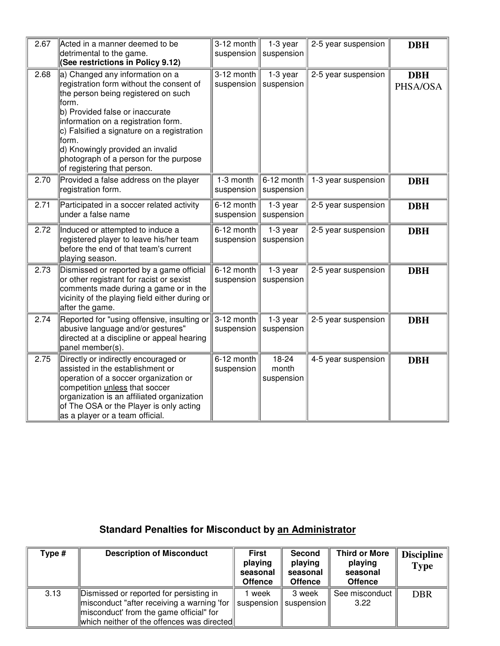| 2.67 | Acted in a manner deemed to be<br>detrimental to the game.<br>(See restrictions in Policy 9.12)                                                                                                                                                                                                                                                                              | 3-12 month<br>suspension | 1-3 year<br>suspension               | 2-5 year suspension | <b>DBH</b>             |
|------|------------------------------------------------------------------------------------------------------------------------------------------------------------------------------------------------------------------------------------------------------------------------------------------------------------------------------------------------------------------------------|--------------------------|--------------------------------------|---------------------|------------------------|
| 2.68 | a) Changed any information on a<br>registration form without the consent of<br>the person being registered on such<br>form.<br>b) Provided false or inaccurate<br>information on a registration form.<br>$ c $ Falsified a signature on a registration<br>form.<br>d) Knowingly provided an invalid<br>photograph of a person for the purpose<br>of registering that person. | 3-12 month<br>suspension | 1-3 year<br>suspension               | 2-5 year suspension | <b>DBH</b><br>PHSA/OSA |
| 2.70 | Provided a false address on the player<br>registration form.                                                                                                                                                                                                                                                                                                                 | 1-3 month<br>suspension  | 6-12 month<br>suspension             | 1-3 year suspension | <b>DBH</b>             |
| 2.71 | Participated in a soccer related activity<br>under a false name                                                                                                                                                                                                                                                                                                              | 6-12 month<br>suspension | 1-3 year<br>suspension               | 2-5 year suspension | <b>DBH</b>             |
| 2.72 | Induced or attempted to induce a<br>registered player to leave his/her team<br>before the end of that team's current<br>playing season.                                                                                                                                                                                                                                      | 6-12 month<br>suspension | 1-3 year<br>suspension               | 2-5 year suspension | <b>DBH</b>             |
| 2.73 | Dismissed or reported by a game official<br>or other registrant for racist or sexist<br>comments made during a game or in the<br>vicinity of the playing field either during or<br>after the game.                                                                                                                                                                           | 6-12 month<br>suspension | 1-3 year<br>suspension               | 2-5 year suspension | <b>DBH</b>             |
| 2.74 | Reported for "using offensive, insulting or<br>abusive language and/or gestures"<br>directed at a discipline or appeal hearing<br>panel member(s).                                                                                                                                                                                                                           | 3-12 month               | 1-3 year<br>suspension    suspension | 2-5 year suspension | <b>DBH</b>             |
| 2.75 | Directly or indirectly encouraged or<br>assisted in the establishment or<br>operation of a soccer organization or<br>competition unless that soccer<br>organization is an affiliated organization<br>of The OSA or the Player is only acting<br>as a player or a team official.                                                                                              | 6-12 month<br>suspension | 18-24<br>month<br>suspension         | 4-5 year suspension | <b>DBH</b>             |

## **Standard Penalties for Misconduct by an Administrator**

| Type # | <b>Description of Misconduct</b>                                                                                                                                               | <b>First</b><br>playing<br>seasonal<br><b>Offence</b> | <b>Second</b><br>playing<br>seasonal<br><b>Offence</b> | <b>Third or More</b><br>playing<br>seasonal<br><b>Offence</b> | Discipline $ $<br><b>Type</b> |
|--------|--------------------------------------------------------------------------------------------------------------------------------------------------------------------------------|-------------------------------------------------------|--------------------------------------------------------|---------------------------------------------------------------|-------------------------------|
| 3.13   | Dismissed or reported for persisting in<br>misconduct "after receiving a warning 'for<br>misconduct' from the game official" for<br>which neither of the offences was directed | l week<br>$\parallel$ suspension $\parallel$          | 3 week<br>suspension                                   | See misconduct<br>3.22                                        | <b>DBR</b>                    |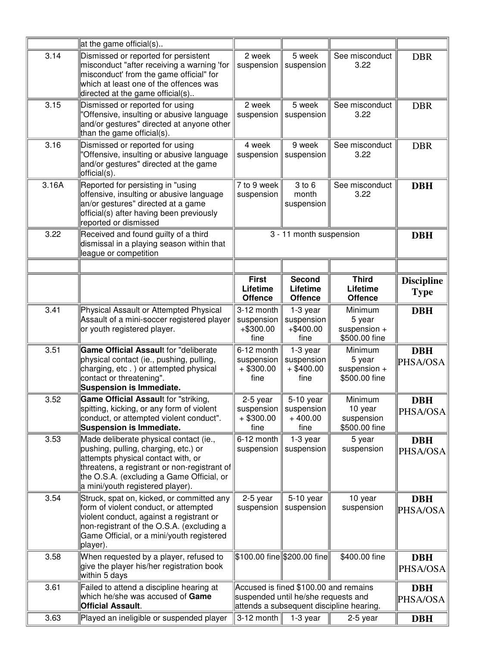|       | at the game official(s)                                                                                                                                                                                                                               |                                                    |                                                                              |                                                    |                                  |
|-------|-------------------------------------------------------------------------------------------------------------------------------------------------------------------------------------------------------------------------------------------------------|----------------------------------------------------|------------------------------------------------------------------------------|----------------------------------------------------|----------------------------------|
| 3.14  | Dismissed or reported for persistent<br>misconduct "after receiving a warning 'for<br>misconduct' from the game official" for<br>which at least one of the offences was<br>directed at the game official(s)                                           | 2 week<br>suspension                               | 5 week<br>suspension                                                         | See misconduct<br>3.22                             | <b>DBR</b>                       |
| 3.15  | Dismissed or reported for using<br>"Offensive, insulting or abusive language<br>and/or gestures" directed at anyone other<br>than the game official(s).                                                                                               | 2 week<br>suspension                               | 5 week<br>suspension                                                         | See misconduct<br>3.22                             | <b>DBR</b>                       |
| 3.16  | Dismissed or reported for using<br>"Offensive, insulting or abusive language<br>and/or gestures" directed at the game<br>official(s).                                                                                                                 | 4 week<br>suspension                               | 9 week<br>suspension                                                         | See misconduct<br>3.22                             | <b>DBR</b>                       |
| 3.16A | Reported for persisting in "using<br>offensive, insulting or abusive language<br>an/or gestures" directed at a game<br>official(s) after having been previously<br>reported or dismissed                                                              | 7 to 9 week<br>suspension                          | 3 to 6<br>month<br>suspension                                                | See misconduct<br>3.22                             | <b>DBH</b>                       |
| 3.22  | Received and found guilty of a third<br>dismissal in a playing season within that<br>league or competition                                                                                                                                            |                                                    | 3 - 11 month suspension                                                      |                                                    | <b>DBH</b>                       |
|       |                                                                                                                                                                                                                                                       |                                                    |                                                                              |                                                    |                                  |
|       |                                                                                                                                                                                                                                                       | <b>First</b><br>Lifetime<br><b>Offence</b>         | <b>Second</b><br>Lifetime<br><b>Offence</b>                                  | <b>Third</b><br>Lifetime<br><b>Offence</b>         | <b>Discipline</b><br><b>Type</b> |
| 3.41  | Physical Assault or Attempted Physical<br>Assault of a mini-soccer registered player<br>or youth registered player.                                                                                                                                   | 3-12 month<br>suspension<br>$+ $300.00$<br>fine    | 1-3 year<br>suspension<br>$+ $400.00$<br>fine                                | Minimum<br>5 year<br>suspension +<br>\$500.00 fine | <b>DBH</b>                       |
| 3.51  | Game Official Assault for "deliberate<br>physical contact (ie., pushing, pulling,<br>charging, etc.) or attempted physical<br>contact or threatening".<br><b>Suspension is Immediate.</b>                                                             | $6-12$ month<br>suspension<br>$+$ \$300.00<br>fine | 1-3 year<br>suspension<br>$+$ \$400.00<br>fine                               | Minimum<br>5 year<br>suspension +<br>\$500.00 fine | <b>DBH</b><br>PHSA/OSA           |
| 3.52  | Game Official Assault for "striking,<br>spitting, kicking, or any form of violent<br>conduct, or attempted violent conduct".<br>Suspension is Immediate.                                                                                              | 2-5 year<br>suspension<br>$+$ \$300.00<br>fine     | 5-10 year<br>suspension $ $<br>$+400.00$<br>fine                             | Minimum<br>10 year<br>suspension<br>\$500.00 fine  | <b>DBH</b><br>PHSA/OSA           |
| 3.53  | Made deliberate physical contact (ie.,<br>pushing, pulling, charging, etc.) or<br>attempts physical contact with, or<br>threatens, a registrant or non-registrant of<br>the O.S.A. (excluding a Game Official, or<br>a mini/youth registered player). | 6-12 month<br>suspension                           | 1-3 year<br>suspension                                                       | 5 year<br>suspension                               | <b>DBH</b><br>PHSA/OSA           |
| 3.54  | Struck, spat on, kicked, or committed any<br>form of violent conduct, or attempted<br>violent conduct, against a registrant or<br>non-registrant of the O.S.A. (excluding a<br>Game Official, or a mini/youth registered<br>player).                  | 2-5 year<br>suspension                             | 5-10 year<br>suspension                                                      | 10 year<br>suspension                              | <b>DBH</b><br>PHSA/OSA           |
| 3.58  | When requested by a player, refused to<br>give the player his/her registration book<br>within 5 days                                                                                                                                                  |                                                    | \$100.00 fine \$200.00 fine                                                  | \$400.00 fine                                      | <b>DBH</b><br>PHSA/OSA           |
| 3.61  | Failed to attend a discipline hearing at<br>which he/she was accused of Game<br><b>Official Assault.</b>                                                                                                                                              |                                                    | Accused is fined \$100.00 and remains<br>suspended until he/she requests and | attends a subsequent discipline hearing.           | <b>DBH</b><br>PHSA/OSA           |
| 3.63  | Played an ineligible or suspended player                                                                                                                                                                                                              | $ 3-12 \text{ month} $                             | 1-3 year                                                                     | 2-5 year                                           | <b>DBH</b>                       |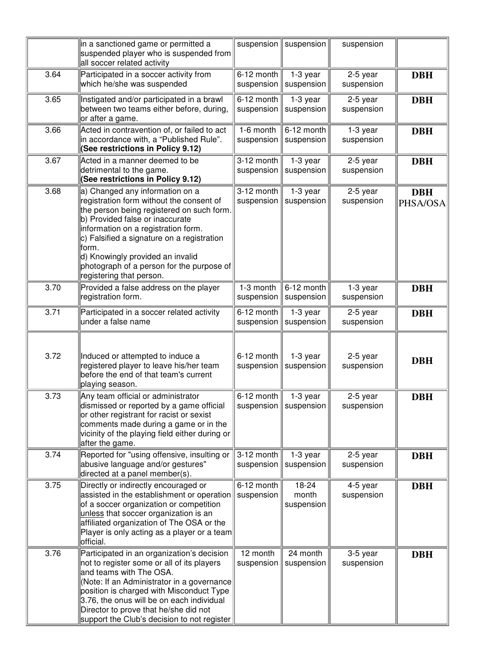|      | in a sanctioned game or permitted a<br>suspended player who is suspended from<br>all soccer related activity                                                                                                                                                                                                                                                            | suspension                   | suspension                                | suspension             |                        |
|------|-------------------------------------------------------------------------------------------------------------------------------------------------------------------------------------------------------------------------------------------------------------------------------------------------------------------------------------------------------------------------|------------------------------|-------------------------------------------|------------------------|------------------------|
| 3.64 | Participated in a soccer activity from<br>which he/she was suspended                                                                                                                                                                                                                                                                                                    | $6-12$ month<br>suspension   | 1-3 year<br>suspension                    | 2-5 year<br>suspension | <b>DBH</b>             |
| 3.65 | Instigated and/or participated in a brawl<br>between two teams either before, during,<br>or after a game.                                                                                                                                                                                                                                                               | 6-12 month<br>suspension     | 1-3 year<br>suspension                    | 2-5 year<br>suspension | <b>DBH</b>             |
| 3.66 | Acted in contravention of, or failed to act<br>in accordance with, a "Published Rule".<br>(See restrictions in Policy 9.12)                                                                                                                                                                                                                                             | 1-6 month<br>suspension      | 6-12 month<br>suspension                  | 1-3 year<br>suspension | <b>DBH</b>             |
| 3.67 | Acted in a manner deemed to be<br>detrimental to the game.<br>(See restrictions in Policy 9.12)                                                                                                                                                                                                                                                                         | $3-12$ month<br>suspension   | 1-3 year<br>suspension                    | 2-5 year<br>suspension | <b>DBH</b>             |
| 3.68 | a) Changed any information on a<br>registration form without the consent of<br>the person being registered on such form.<br>b) Provided false or inaccurate<br>information on a registration form.<br>c) Falsified a signature on a registration<br>lform.<br>d) Knowingly provided an invalid<br>photograph of a person for the purpose of<br>registering that person. | 3-12 month<br>suspension     | 1-3 year<br>suspension                    | 2-5 year<br>suspension | <b>DBH</b><br>PHSA/OSA |
| 3.70 | Provided a false address on the player<br>registration form.                                                                                                                                                                                                                                                                                                            | 1-3 month<br>suspension      | 6-12 month<br>suspension                  | 1-3 year<br>suspension | <b>DBH</b>             |
| 3.71 | Participated in a soccer related activity<br>under a false name                                                                                                                                                                                                                                                                                                         | 6-12 month<br>suspension     | 1-3 year<br>suspension                    | 2-5 year<br>suspension | <b>DBH</b>             |
| 3.72 | Induced or attempted to induce a<br>registered player to leave his/her team<br>before the end of that team's current<br>playing season.                                                                                                                                                                                                                                 | 6-12 month<br>suspension     | 1-3 year<br>suspension                    | 2-5 year<br>suspension | <b>DBH</b>             |
| 3.73 | Any team official or administrator<br>dismissed or reported by a game official<br>or other registrant for racist or sexist<br>comments made during a game or in the<br>vicinity of the playing field either during or<br>after the game.                                                                                                                                | 6-12 month<br>suspension $ $ | 1-3 year<br>$\mid$ suspension $\parallel$ | 2-5 year<br>suspension | <b>DBH</b>             |
| 3.74 | Reported for "using offensive, insulting or<br>abusive language and/or gestures"<br>directed at a panel member(s).                                                                                                                                                                                                                                                      | 3-12 month<br>suspension     | 1-3 year<br>suspension                    | 2-5 year<br>suspension | <b>DBH</b>             |
| 3.75 | Directly or indirectly encouraged or<br>assisted in the establishment or operation suspension<br>of a soccer organization or competition<br>unless that soccer organization is an<br>affiliated organization of The OSA or the<br>Player is only acting as a player or a team<br>official.                                                                              | 6-12 month                   | 18-24<br>month<br>suspension              | 4-5 year<br>suspension | <b>DBH</b>             |
| 3.76 | Participated in an organization's decision<br>not to register some or all of its players<br>and teams with The OSA.<br>(Note: If an Administrator in a governance)<br>position is charged with Misconduct Type<br>3.76, the onus will be on each individual<br>Director to prove that he/she did not<br>support the Club's decision to not register                     | 12 month<br>suspension       | 24 month<br>suspension                    | 3-5 year<br>suspension | <b>DBH</b>             |